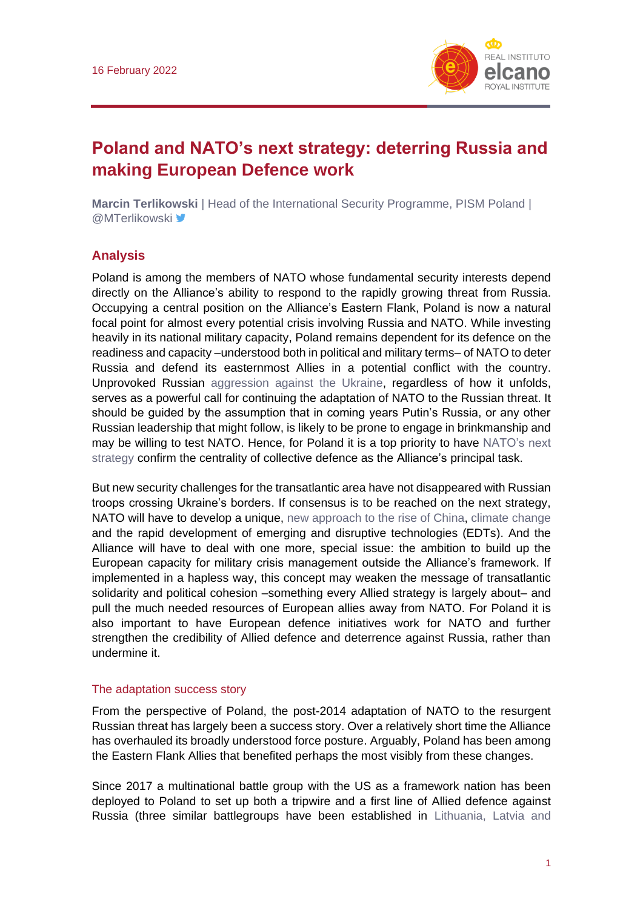

# **Poland and NATO's next strategy: deterring Russia and making European Defence work**

**Marcin Terlikowski** | Head of the International Security Programme, PISM Poland | @MTerlikowski <del>V</del>

## **Analysis**

Poland is among the members of NATO whose fundamental security interests depend directly on the Alliance's ability to respond to the rapidly growing threat from Russia. Occupying a central position on the Alliance's Eastern Flank, Poland is now a natural focal point for almost every potential crisis involving Russia and NATO. While investing heavily in its national military capacity, Poland remains dependent for its defence on the readiness and capacity –understood both in political and military terms– of NATO to deter Russia and defend its easternmost Allies in a potential conflict with the country. Unprovoked Russian [aggression against the](https://www.realinstitutoelcano.org/especiales/especial-ucrania/) Ukraine, regardless of how it unfolds, serves as a powerful call for continuing the adaptation of NATO to the Russian threat. It should be guided by the assumption that in coming years Putin's Russia, or any other Russian leadership that might follow, is likely to be prone to engage in brinkmanship and may be willing to test NATO. Hence, for Poland it is a top priority to have [NATO's next](https://www.realinstitutoelcano.org/en/analyses/one-plus-four-what-natos-new-strategic-concept-should-say-and-how-to-achieve-it/)  [strategy](https://www.realinstitutoelcano.org/en/analyses/one-plus-four-what-natos-new-strategic-concept-should-say-and-how-to-achieve-it/) confirm the centrality of collective defence as the Alliance's principal task.

But new security challenges for the transatlantic area have not disappeared with Russian troops crossing Ukraine's borders. If consensus is to be reached on the next strategy, NATO will have to develop a unique, [new approach to the rise of China,](https://www.realinstitutoelcano.org/en/chinas-stance-on-ukraine-preventing-nato-from-interfering-in-the-indo-pacific/) [climate change](https://www.nato.int/cps/en/natohq/official_texts_185174.htm) and the rapid development of emerging and disruptive technologies (EDTs). And the Alliance will have to deal with one more, special issue: the ambition to build up the European capacity for military crisis management outside the Alliance's framework. If implemented in a hapless way, this concept may weaken the message of transatlantic solidarity and political cohesion –something every Allied strategy is largely about– and pull the much needed resources of European allies away from NATO. For Poland it is also important to have European defence initiatives work for NATO and further strengthen the credibility of Allied defence and deterrence against Russia, rather than undermine it.

#### The adaptation success story

From the perspective of Poland, the post-2014 adaptation of NATO to the resurgent Russian threat has largely been a success story. Over a relatively short time the Alliance has overhauled its broadly understood force posture. Arguably, Poland has been among the Eastern Flank Allies that benefited perhaps the most visibly from these changes.

Since 2017 a multinational battle group with the US as a framework nation has been deployed to Poland to set up both a tripwire and a first line of Allied defence against Russia (three similar battlegroups have been established in [Lithuania, Latvia and](https://www.realinstitutoelcano.org/en/analyses/lithuania-latvia-and-estonia-the-euro-atlantic-consolidation-of-the-baltic-region/)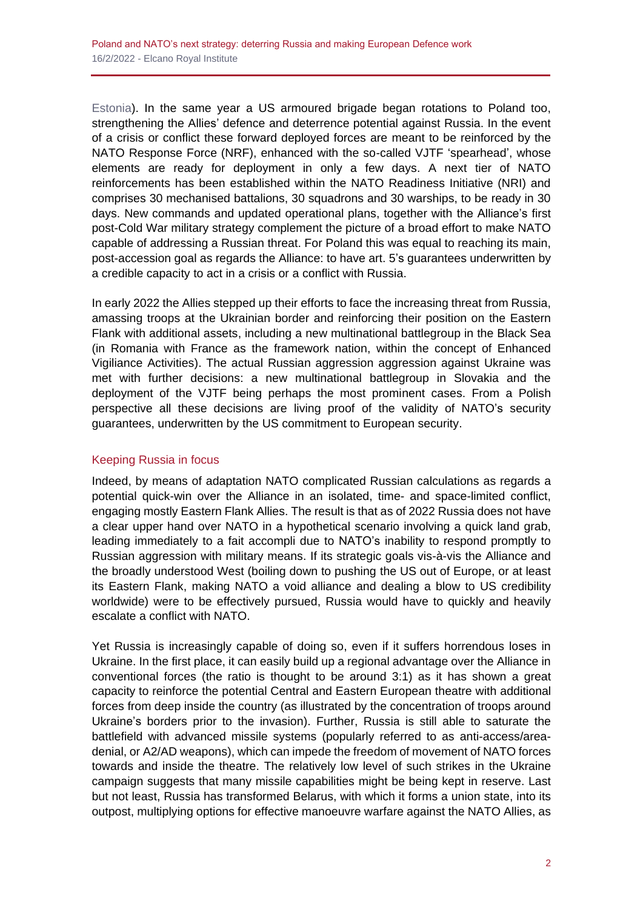[Estonia\)](https://www.realinstitutoelcano.org/en/analyses/lithuania-latvia-and-estonia-the-euro-atlantic-consolidation-of-the-baltic-region/). In the same year a US armoured brigade began rotations to Poland too, strengthening the Allies' defence and deterrence potential against Russia. In the event of a crisis or conflict these forward deployed forces are meant to be reinforced by the NATO Response Force (NRF), enhanced with the so-called VJTF 'spearhead', whose elements are ready for deployment in only a few days. A next tier of NATO reinforcements has been established within the NATO Readiness Initiative (NRI) and comprises 30 mechanised battalions, 30 squadrons and 30 warships, to be ready in 30 days. New commands and updated operational plans, together with the Alliance's first post-Cold War military strategy complement the picture of a broad effort to make NATO capable of addressing a Russian threat. For Poland this was equal to reaching its main, post-accession goal as regards the Alliance: to have art. 5's guarantees underwritten by a credible capacity to act in a crisis or a conflict with Russia.

In early 2022 the Allies stepped up their efforts to face the increasing threat from Russia, amassing troops at the Ukrainian border and reinforcing their position on the Eastern Flank with additional assets, including a new multinational battlegroup in the Black Sea (in Romania with France as the framework nation, within the concept of Enhanced Vigiliance Activities). The actual Russian aggression aggression against Ukraine was met with further decisions: a new multinational battlegroup in Slovakia and the deployment of the VJTF being perhaps the most prominent cases. From a Polish perspective all these decisions are living proof of the validity of NATO's security guarantees, underwritten by the US commitment to European security.

## Keeping Russia in focus

Indeed, by means of adaptation NATO complicated Russian calculations as regards a potential quick-win over the Alliance in an isolated, time- and space-limited conflict, engaging mostly Eastern Flank Allies. The result is that as of 2022 Russia does not have a clear upper hand over NATO in a hypothetical scenario involving a quick land grab, leading immediately to a fait accompli due to NATO's inability to respond promptly to Russian aggression with military means. If its strategic goals vis-à-vis the Alliance and the broadly understood West (boiling down to pushing the US out of Europe, or at least its Eastern Flank, making NATO a void alliance and dealing a blow to US credibility worldwide) were to be effectively pursued, Russia would have to quickly and heavily escalate a conflict with NATO.

Yet Russia is increasingly capable of doing so, even if it suffers horrendous loses in Ukraine. In the first place, it can easily build up a regional advantage over the Alliance in conventional forces (the ratio is thought to be around 3:1) as it has shown a great capacity to reinforce the potential Central and Eastern European theatre with additional forces from deep inside the country (as illustrated by the concentration of troops around Ukraine's borders prior to the invasion). Further, Russia is still able to saturate the battlefield with advanced missile systems (popularly referred to as anti-access/areadenial, or A2/AD weapons), which can impede the freedom of movement of NATO forces towards and inside the theatre. The relatively low level of such strikes in the Ukraine campaign suggests that many missile capabilities might be being kept in reserve. Last but not least, Russia has transformed Belarus, with which it forms a union state, into its outpost, multiplying options for effective manoeuvre warfare against the NATO Allies, as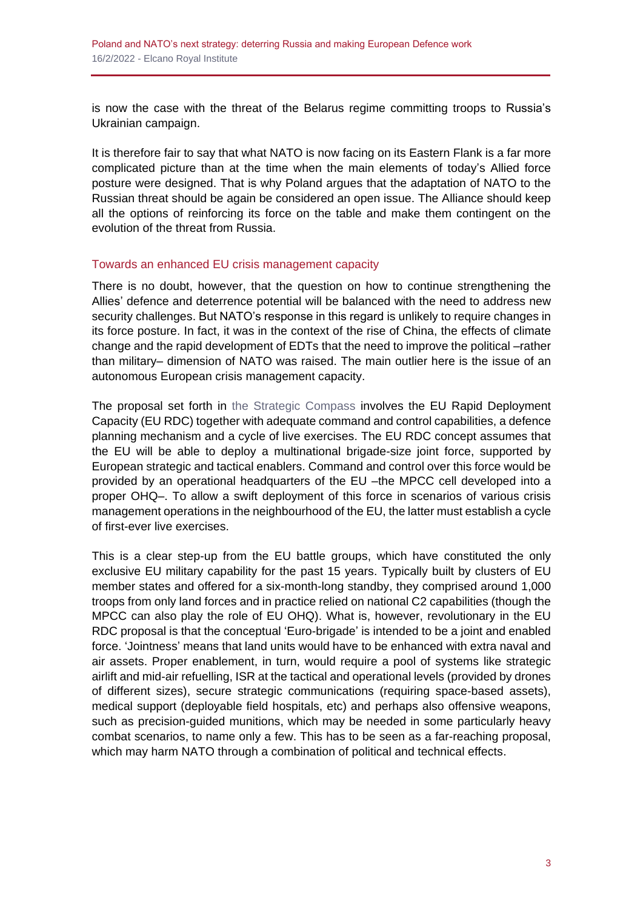is now the case with the threat of the Belarus regime committing troops to Russia's Ukrainian campaign.

It is therefore fair to say that what NATO is now facing on its Eastern Flank is a far more complicated picture than at the time when the main elements of today's Allied force posture were designed. That is why Poland argues that the adaptation of NATO to the Russian threat should be again be considered an open issue. The Alliance should keep all the options of reinforcing its force on the table and make them contingent on the evolution of the threat from Russia.

### Towards an enhanced EU crisis management capacity

There is no doubt, however, that the question on how to continue strengthening the Allies' defence and deterrence potential will be balanced with the need to address new security challenges. But NATO's response in this regard is unlikely to require changes in its force posture. In fact, it was in the context of the rise of China, the effects of climate change and the rapid development of EDTs that the need to improve the political –rather than military– dimension of NATO was raised. The main outlier here is the issue of an autonomous European crisis management capacity.

The proposal set forth in [the Strategic Compass](https://www.realinstitutoelcano.org/en/analyses/what-matters-to-the-uk-in-the-context-of-the-new-strategic-concept-discussion/) involves the EU Rapid Deployment Capacity (EU RDC) together with adequate command and control capabilities, a defence planning mechanism and a cycle of live exercises. The EU RDC concept assumes that the EU will be able to deploy a multinational brigade-size joint force, supported by European strategic and tactical enablers. Command and control over this force would be provided by an operational headquarters of the EU –the MPCC cell developed into a proper OHQ–. To allow a swift deployment of this force in scenarios of various crisis management operations in the neighbourhood of the EU, the latter must establish a cycle of first-ever live exercises.

This is a clear step-up from the EU battle groups, which have constituted the only exclusive EU military capability for the past 15 years. Typically built by clusters of EU member states and offered for a six-month-long standby, they comprised around 1,000 troops from only land forces and in practice relied on national C2 capabilities (though the MPCC can also play the role of EU OHQ). What is, however, revolutionary in the EU RDC proposal is that the conceptual 'Euro-brigade' is intended to be a joint and enabled force. 'Jointness' means that land units would have to be enhanced with extra naval and air assets. Proper enablement, in turn, would require a pool of systems like strategic airlift and mid-air refuelling, ISR at the tactical and operational levels (provided by drones of different sizes), secure strategic communications (requiring space-based assets), medical support (deployable field hospitals, etc) and perhaps also offensive weapons, such as precision-guided munitions, which may be needed in some particularly heavy combat scenarios, to name only a few. This has to be seen as a far-reaching proposal, which may harm NATO through a combination of political and technical effects.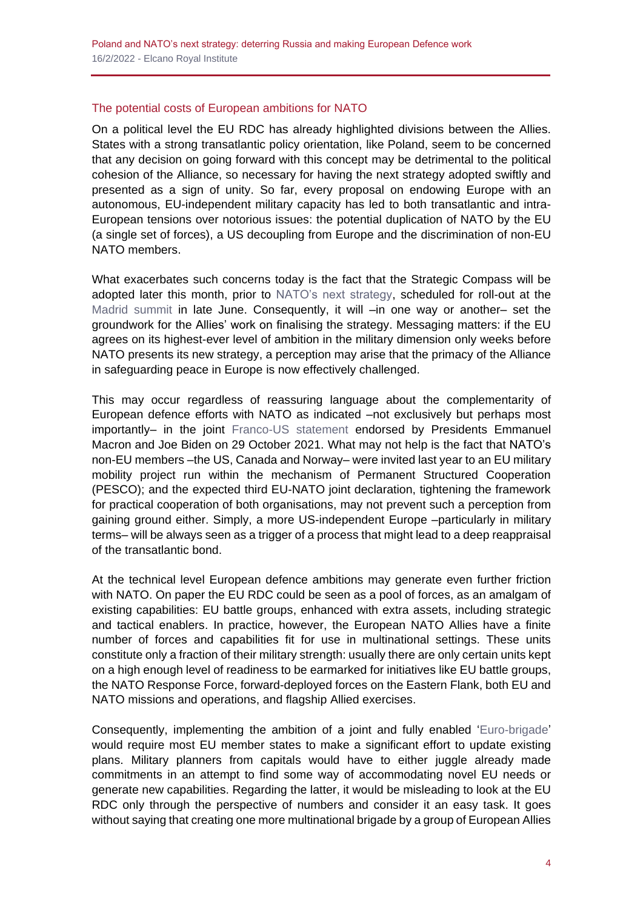## The potential costs of European ambitions for NATO

On a political level the EU RDC has already highlighted divisions between the Allies. States with a strong transatlantic policy orientation, like Poland, seem to be concerned that any decision on going forward with this concept may be detrimental to the political cohesion of the Alliance, so necessary for having the next strategy adopted swiftly and presented as a sign of unity. So far, every proposal on endowing Europe with an autonomous, EU-independent military capacity has led to both transatlantic and intra-European tensions over notorious issues: the potential duplication of NATO by the EU (a single set of forces), a US decoupling from Europe and the discrimination of non-EU NATO members.

What exacerbates such concerns today is the fact that the Strategic Compass will be adopted later this month, prior to [NATO's next strategy,](https://www.realinstitutoelcano.org/en/analyses/nato-gets-an-update-the-madrid-strategic-concept/) scheduled for roll-out at the [Madrid summit](https://www.realinstitutoelcano.org/en/activities/roundtable-the-madrid-summit-and-the-future-of-nato/) in late June. Consequently, it will -in one way or another- set the groundwork for the Allies' work on finalising the strategy. Messaging matters: if the EU agrees on its highest-ever level of ambition in the military dimension only weeks before NATO presents its new strategy, a perception may arise that the primacy of the Alliance in safeguarding peace in Europe is now effectively challenged.

This may occur regardless of reassuring language about the complementarity of European defence efforts with NATO as indicated –not exclusively but perhaps most importantly– in the joint [Franco-US](https://www.whitehouse.gov/briefing-room/statements-releases/2021/10/29/united-states-france-joint-statement/) statement endorsed by Presidents Emmanuel Macron and Joe Biden on 29 October 2021. What may not help is the fact that NATO's non-EU members –the US, Canada and Norway– were invited last year to an EU military mobility project run within the mechanism of Permanent Structured Cooperation (PESCO); and the expected third EU-NATO joint declaration, tightening the framework for practical cooperation of both organisations, may not prevent such a perception from gaining ground either. Simply, a more US-independent Europe –particularly in military terms– will be always seen as a trigger of a process that might lead to a deep reappraisal of the transatlantic bond.

At the technical level European defence ambitions may generate even further friction with NATO. On paper the EU RDC could be seen as a pool of forces, as an amalgam of existing capabilities: EU battle groups, enhanced with extra assets, including strategic and tactical enablers. In practice, however, the European NATO Allies have a finite number of forces and capabilities fit for use in multinational settings. These units constitute only a fraction of their military strength: usually there are only certain units kept on a high enough level of readiness to be earmarked for initiatives like EU battle groups, the NATO Response Force, forward-deployed forces on the Eastern Flank, both EU and NATO missions and operations, and flagship Allied exercises.

Consequently, implementing the ambition of a joint and fully enabled ['Euro-brigade'](https://www.eurocorps.org/) would require most EU member states to make a significant effort to update existing plans. Military planners from capitals would have to either juggle already made commitments in an attempt to find some way of accommodating novel EU needs or generate new capabilities. Regarding the latter, it would be misleading to look at the EU RDC only through the perspective of numbers and consider it an easy task. It goes without saying that creating one more multinational brigade by a group of European Allies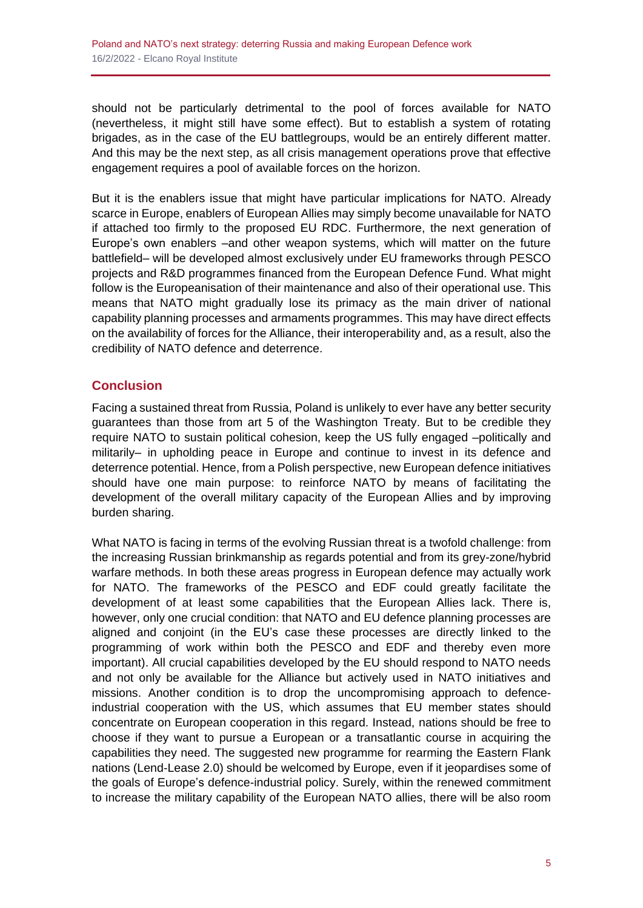should not be particularly detrimental to the pool of forces available for NATO (nevertheless, it might still have some effect). But to establish a system of rotating brigades, as in the case of the EU battlegroups, would be an entirely different matter. And this may be the next step, as all crisis management operations prove that effective engagement requires a pool of available forces on the horizon.

But it is the enablers issue that might have particular implications for NATO. Already scarce in Europe, enablers of European Allies may simply become unavailable for NATO if attached too firmly to the proposed EU RDC. Furthermore, the next generation of Europe's own enablers –and other weapon systems, which will matter on the future battlefield– will be developed almost exclusively under EU frameworks through PESCO projects and R&D programmes financed from the European Defence Fund. What might follow is the Europeanisation of their maintenance and also of their operational use. This means that NATO might gradually lose its primacy as the main driver of national capability planning processes and armaments programmes. This may have direct effects on the availability of forces for the Alliance, their interoperability and, as a result, also the credibility of NATO defence and deterrence.

## **Conclusion**

Facing a sustained threat from Russia, Poland is unlikely to ever have any better security guarantees than those from art 5 of the Washington Treaty. But to be credible they require NATO to sustain political cohesion, keep the US fully engaged –politically and militarily– in upholding peace in Europe and continue to invest in its defence and deterrence potential. Hence, from a Polish perspective, new European defence initiatives should have one main purpose: to reinforce NATO by means of facilitating the development of the overall military capacity of the European Allies and by improving burden sharing.

What NATO is facing in terms of the evolving Russian threat is a twofold challenge: from the increasing Russian brinkmanship as regards potential and from its grey-zone/hybrid warfare methods. In both these areas progress in European defence may actually work for NATO. The frameworks of the PESCO and EDF could greatly facilitate the development of at least some capabilities that the European Allies lack. There is, however, only one crucial condition: that NATO and EU defence planning processes are aligned and conjoint (in the EU's case these processes are directly linked to the programming of work within both the PESCO and EDF and thereby even more important). All crucial capabilities developed by the EU should respond to NATO needs and not only be available for the Alliance but actively used in NATO initiatives and missions. Another condition is to drop the uncompromising approach to defenceindustrial cooperation with the US, which assumes that EU member states should concentrate on European cooperation in this regard. Instead, nations should be free to choose if they want to pursue a European or a transatlantic course in acquiring the capabilities they need. The suggested new programme for rearming the Eastern Flank nations (Lend-Lease 2.0) should be welcomed by Europe, even if it jeopardises some of the goals of Europe's defence-industrial policy. Surely, within the renewed commitment to increase the military capability of the European NATO allies, there will be also room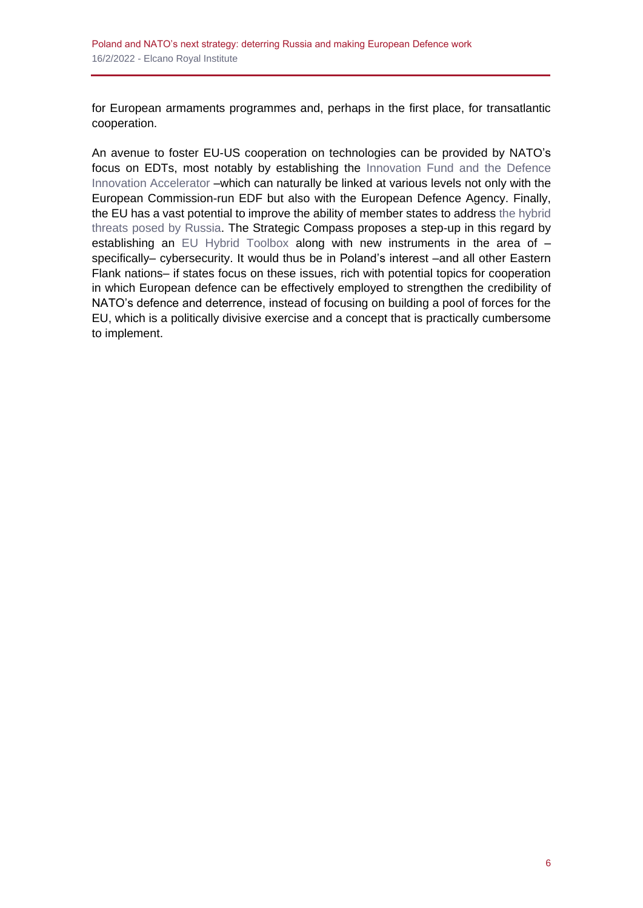for European armaments programmes and, perhaps in the first place, for transatlantic cooperation.

An avenue to foster EU-US cooperation on technologies can be provided by NATO's focus on EDTs, most notably by establishing the [Innovation Fund and the Defence](https://www.nato.int/cps/en/natohq/news_187607.htm)  [Innovation Accelerator](https://www.nato.int/cps/en/natohq/news_187607.htm) –which can naturally be linked at various levels not only with the European Commission-run EDF but also with the European Defence Agency. Finally, the EU has a vast potential to improve the ability of member states to address [the hybrid](https://www.realinstitutoelcano.org/en/activities/the-hybrid-war-and-the-challenge-of-peace-in-ukraine/)  [threats posed by Russia.](https://www.realinstitutoelcano.org/en/activities/the-hybrid-war-and-the-challenge-of-peace-in-ukraine/) The Strategic Compass proposes a step-up in this regard by establishing an [EU Hybrid Toolbox](https://ec.europa.eu/commission/presscorner/detail/it/MEMO_16_1250) along with new instruments in the area of – specifically– cybersecurity. It would thus be in Poland's interest –and all other Eastern Flank nations– if states focus on these issues, rich with potential topics for cooperation in which European defence can be effectively employed to strengthen the credibility of NATO's defence and deterrence, instead of focusing on building a pool of forces for the EU, which is a politically divisive exercise and a concept that is practically cumbersome to implement.